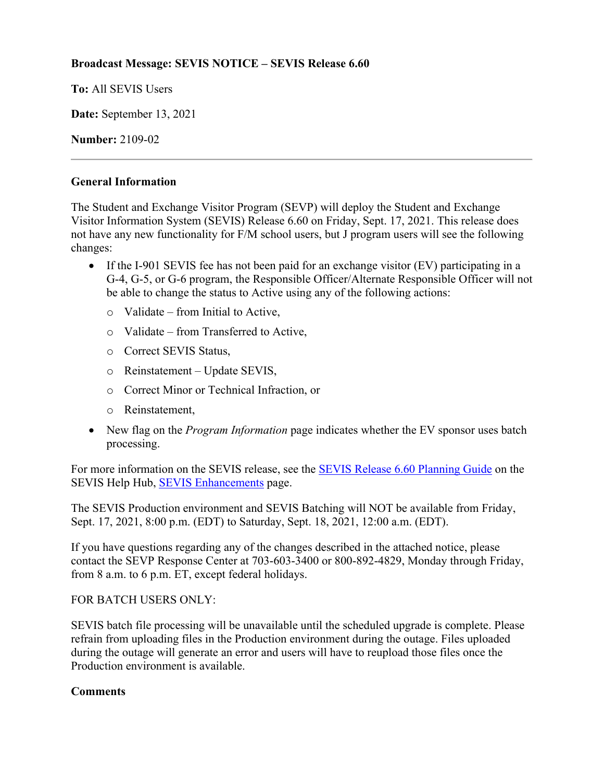# **Broadcast Message: SEVIS NOTICE – SEVIS Release 6.60**

**To:** All SEVIS Users

**Date:** September 13, 2021

**Number:** 2109-02

### **General Information**

The Student and Exchange Visitor Program (SEVP) will deploy the Student and Exchange Visitor Information System (SEVIS) Release 6.60 on Friday, Sept. 17, 2021. This release does not have any new functionality for F/M school users, but J program users will see the following changes:

- If the I-901 SEVIS fee has not been paid for an exchange visitor (EV) participating in a G-4, G-5, or G-6 program, the Responsible Officer/Alternate Responsible Officer will not be able to change the status to Active using any of the following actions:
	- $\circ$  Validate from Initial to Active.
	- o Validate from Transferred to Active,
	- o Correct SEVIS Status,
	- o Reinstatement Update SEVIS,
	- o Correct Minor or Technical Infraction, or
	- o Reinstatement,
- New flag on the *Program Information* page indicates whether the EV sponsor uses batch processing.

For more information on the SEVIS release, see the [SEVIS Release 6.60](https://studyinthestates.dhs.gov/sevis-help-hub/learn-more/sevis-enhancements/sevis-release-660-planning-guide) Planning Guide on the SEVIS Help Hub, [SEVIS Enhancements](https://studyinthestates.dhs.gov/sevis-help-hub/learn-more/sevis-enhancements) page.

The SEVIS Production environment and SEVIS Batching will NOT be available from Friday, Sept. 17, 2021, 8:00 p.m. (EDT) to Saturday, Sept. 18, 2021, 12:00 a.m. (EDT).

If you have questions regarding any of the changes described in the attached notice, please contact the SEVP Response Center at 703-603-3400 or 800-892-4829, Monday through Friday, from 8 a.m. to 6 p.m. ET, except federal holidays.

#### FOR BATCH USERS ONLY:

SEVIS batch file processing will be unavailable until the scheduled upgrade is complete. Please refrain from uploading files in the Production environment during the outage. Files uploaded during the outage will generate an error and users will have to reupload those files once the Production environment is available.

# **Comments**